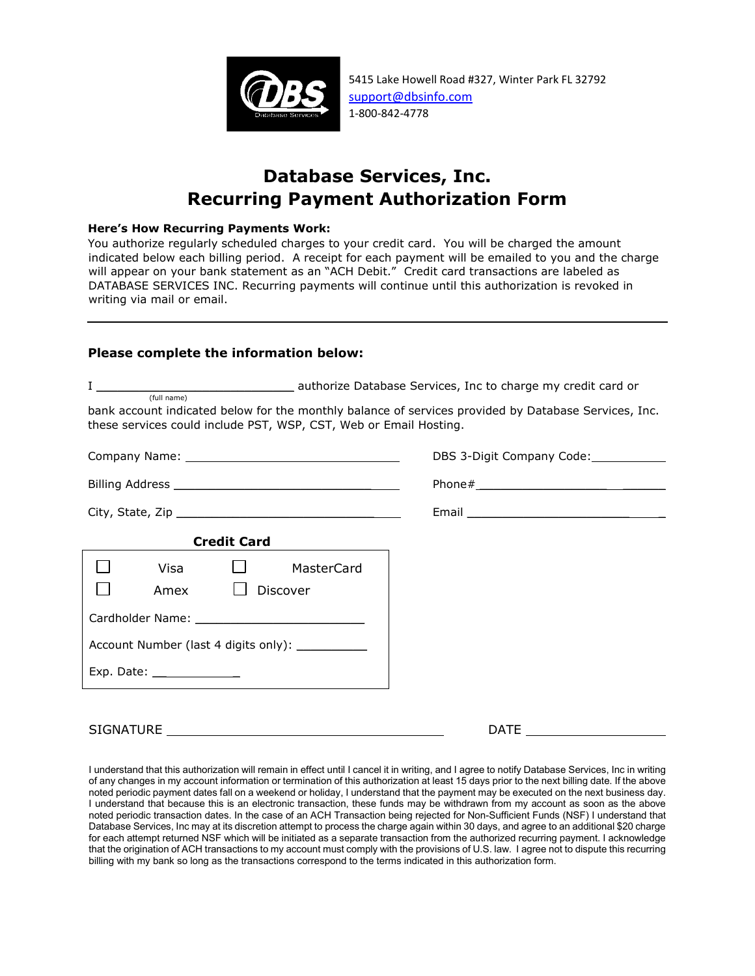

5415 Lake Howell Road #327, Winter Park FL 32792 support@dbsinfo.com 1-800-842-4778

## **Database Services, Inc. Recurring Payment Authorization Form**

## **Here's How Recurring Payments Work:**

You authorize regularly scheduled charges to your credit card. You will be charged the amount indicated below each billing period. A receipt for each payment will be emailed to you and the charge will appear on your bank statement as an "ACH Debit." Credit card transactions are labeled as DATABASE SERVICES INC. Recurring payments will continue until this authorization is revoked in writing via mail or email.

## **Please complete the information below:**

|                                                                                                                                                                                          | authorize Database Services, Inc to charge my credit card or                                        |
|------------------------------------------------------------------------------------------------------------------------------------------------------------------------------------------|-----------------------------------------------------------------------------------------------------|
| (full name)<br>bank account indicated below for the monthly balance of services provided by Database Services, Inc.<br>these services could include PST, WSP, CST, Web or Email Hosting. |                                                                                                     |
|                                                                                                                                                                                          | DBS 3-Digit Company Code:                                                                           |
|                                                                                                                                                                                          |                                                                                                     |
|                                                                                                                                                                                          | Email 2008 and 2008 and 2008 and 2008 and 2008 and 2008 and 2008 and 2008 and 2008 and 2008 and 200 |
| <b>Credit Card</b>                                                                                                                                                                       |                                                                                                     |
| Visa<br>Discover<br>Amex                                                                                                                                                                 | MasterCard                                                                                          |
|                                                                                                                                                                                          |                                                                                                     |
| Account Number (last 4 digits only): ____________                                                                                                                                        |                                                                                                     |
| Exp. Date: _______________                                                                                                                                                               |                                                                                                     |
|                                                                                                                                                                                          |                                                                                                     |
| <b>SIGNATURE</b>                                                                                                                                                                         | DATE                                                                                                |

I understand that this authorization will remain in effect until I cancel it in writing, and I agree to notify Database Services, Inc in writing of any changes in my account information or termination of this authorization at least 15 days prior to the next billing date. If the above noted periodic payment dates fall on a weekend or holiday, I understand that the payment may be executed on the next business day. I understand that because this is an electronic transaction, these funds may be withdrawn from my account as soon as the above noted periodic transaction dates. In the case of an ACH Transaction being rejected for Non-Sufficient Funds (NSF) I understand that Database Services, Inc may at its discretion attempt to process the charge again within 30 days, and agree to an additional \$20 charge for each attempt returned NSF which will be initiated as a separate transaction from the authorized recurring payment. I acknowledge that the origination of ACH transactions to my account must comply with the provisions of U.S. law. I agree not to dispute this recurring billing with my bank so long as the transactions correspond to the terms indicated in this authorization form.